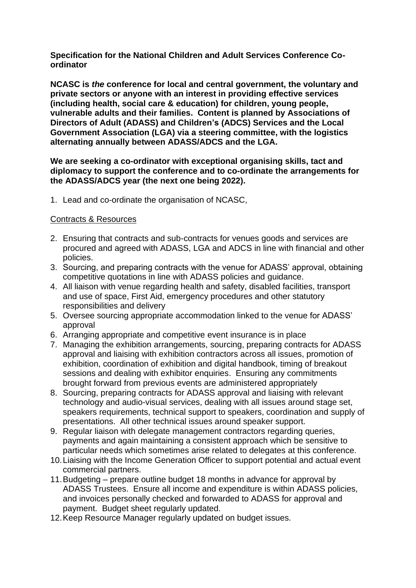**Specification for the National Children and Adult Services Conference Coordinator**

**NCASC is** *the* **conference for local and central government, the voluntary and private sectors or anyone with an interest in providing effective services (including health, social care & education) for children, young people, vulnerable adults and their families. Content is planned by Associations of Directors of Adult (ADASS) and Children's (ADCS) Services and the Local Government Association (LGA) via a steering committee, with the logistics alternating annually between ADASS/ADCS and the LGA.**

**We are seeking a co-ordinator with exceptional organising skills, tact and diplomacy to support the conference and to co-ordinate the arrangements for the ADASS/ADCS year (the next one being 2022).**

1. Lead and co-ordinate the organisation of NCASC,

## Contracts & Resources

- 2. Ensuring that contracts and sub-contracts for venues goods and services are procured and agreed with ADASS, LGA and ADCS in line with financial and other policies.
- 3. Sourcing, and preparing contracts with the venue for ADASS' approval, obtaining competitive quotations in line with ADASS policies and guidance.
- 4. All liaison with venue regarding health and safety, disabled facilities, transport and use of space, First Aid, emergency procedures and other statutory responsibilities and delivery
- 5. Oversee sourcing appropriate accommodation linked to the venue for ADASS' approval
- 6. Arranging appropriate and competitive event insurance is in place
- 7. Managing the exhibition arrangements, sourcing, preparing contracts for ADASS approval and liaising with exhibition contractors across all issues, promotion of exhibition, coordination of exhibition and digital handbook, timing of breakout sessions and dealing with exhibitor enquiries. Ensuring any commitments brought forward from previous events are administered appropriately
- 8. Sourcing, preparing contracts for ADASS approval and liaising with relevant technology and audio-visual services, dealing with all issues around stage set, speakers requirements, technical support to speakers, coordination and supply of presentations. All other technical issues around speaker support.
- 9. Regular liaison with delegate management contractors regarding queries, payments and again maintaining a consistent approach which be sensitive to particular needs which sometimes arise related to delegates at this conference.
- 10.Liaising with the Income Generation Officer to support potential and actual event commercial partners.
- 11.Budgeting prepare outline budget 18 months in advance for approval by ADASS Trustees. Ensure all income and expenditure is within ADASS policies, and invoices personally checked and forwarded to ADASS for approval and payment. Budget sheet regularly updated.
- 12.Keep Resource Manager regularly updated on budget issues.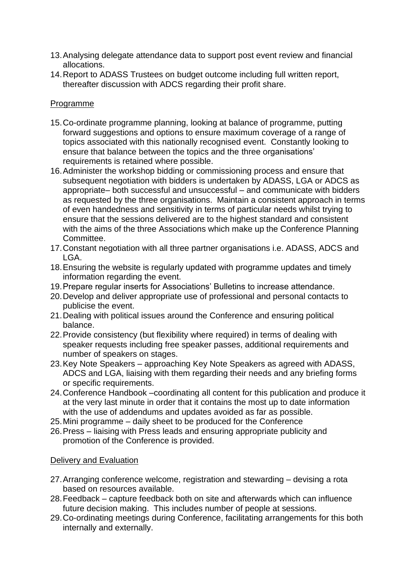- 13.Analysing delegate attendance data to support post event review and financial allocations.
- 14.Report to ADASS Trustees on budget outcome including full written report, thereafter discussion with ADCS regarding their profit share.

## Programme

- 15.Co-ordinate programme planning, looking at balance of programme, putting forward suggestions and options to ensure maximum coverage of a range of topics associated with this nationally recognised event. Constantly looking to ensure that balance between the topics and the three organisations' requirements is retained where possible.
- 16.Administer the workshop bidding or commissioning process and ensure that subsequent negotiation with bidders is undertaken by ADASS, LGA or ADCS as appropriate– both successful and unsuccessful – and communicate with bidders as requested by the three organisations. Maintain a consistent approach in terms of even handedness and sensitivity in terms of particular needs whilst trying to ensure that the sessions delivered are to the highest standard and consistent with the aims of the three Associations which make up the Conference Planning Committee.
- 17.Constant negotiation with all three partner organisations i.e. ADASS, ADCS and LGA.
- 18.Ensuring the website is regularly updated with programme updates and timely information regarding the event.
- 19.Prepare regular inserts for Associations' Bulletins to increase attendance.
- 20.Develop and deliver appropriate use of professional and personal contacts to publicise the event.
- 21.Dealing with political issues around the Conference and ensuring political balance.
- 22.Provide consistency (but flexibility where required) in terms of dealing with speaker requests including free speaker passes, additional requirements and number of speakers on stages.
- 23.Key Note Speakers approaching Key Note Speakers as agreed with ADASS, ADCS and LGA, liaising with them regarding their needs and any briefing forms or specific requirements.
- 24.Conference Handbook –coordinating all content for this publication and produce it at the very last minute in order that it contains the most up to date information with the use of addendums and updates avoided as far as possible.
- 25.Mini programme daily sheet to be produced for the Conference
- 26.Press liaising with Press leads and ensuring appropriate publicity and promotion of the Conference is provided.

## Delivery and Evaluation

- 27.Arranging conference welcome, registration and stewarding devising a rota based on resources available.
- 28.Feedback capture feedback both on site and afterwards which can influence future decision making. This includes number of people at sessions.
- 29.Co-ordinating meetings during Conference, facilitating arrangements for this both internally and externally.